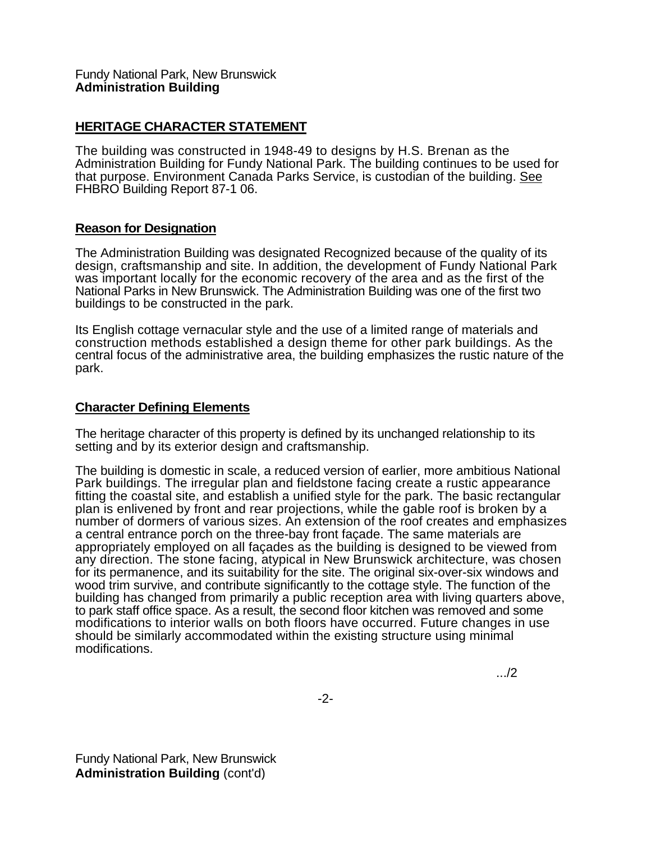## Fundy National Park, New Brunswick **Administration Building**

## **HERITAGE CHARACTER STATEMENT**

The building was constructed in 1948-49 to designs by H.S. Brenan as the Administration Building for Fundy National Park. The building continues to be used for that purpose. Environment Canada Parks Service, is custodian of the building. See FHBRO Building Report 87-1 06.

## **Reason for Designation**

The Administration Building was designated Recognized because of the quality of its design, craftsmanship and site. In addition, the development of Fundy National Park was important locally for the economic recovery of the area and as the first of the National Parks in New Brunswick. The Administration Building was one of the first two buildings to be constructed in the park.

Its English cottage vernacular style and the use of a limited range of materials and construction methods established a design theme for other park buildings. As the central focus of the administrative area, the building emphasizes the rustic nature of the park.

## **Character Defining Elements**

The heritage character of this property is defined by its unchanged relationship to its setting and by its exterior design and craftsmanship.

The building is domestic in scale, a reduced version of earlier, more ambitious National Park buildings. The irregular plan and fieldstone facing create a rustic appearance fitting the coastal site, and establish a unified style for the park. The basic rectangular plan is enlivened by front and rear projections, while the gable roof is broken by a number of dormers of various sizes. An extension of the roof creates and emphasizes a central entrance porch on the three-bay front façade. The same materials are appropriately employed on all façades as the building is designed to be viewed from any direction. The stone facing, atypical in New Brunswick architecture, was chosen for its permanence, and its suitability for the site. The original six-over-six windows and wood trim survive, and contribute significantly to the cottage style. The function of the building has changed from primarily a public reception area with living quarters above, to park staff office space. As a result, the second floor kitchen was removed and some modifications to interior walls on both floors have occurred. Future changes in use should be similarly accommodated within the existing structure using minimal modifications.

.../2

Fundy National Park, New Brunswick **Administration Building** (cont'd)